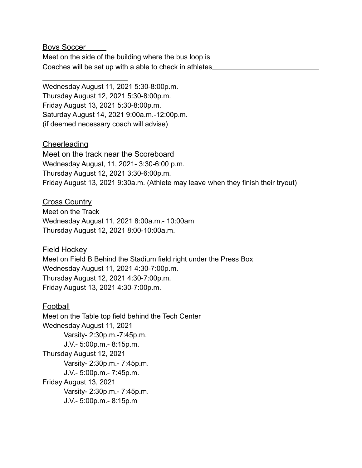Boys Soccer

Meet on the side of the building where the bus loop is Coaches will be set up with a able to check in athletes

Wednesday August 11, 2021 5:30-8:00p.m. Thursday August 12, 2021 5:30-8:00p.m. Friday August 13, 2021 5:30-8:00p.m. Saturday August 14, 2021 9:00a.m.-12:00p.m. (if deemed necessary coach will advise)

## **Cheerleading**

Meet on the track near the Scoreboard Wednesday August, 11, 2021- 3:30-6:00 p.m. Thursday August 12, 2021 3:30-6:00p.m. Friday August 13, 2021 9:30a.m. (Athlete may leave when they finish their tryout)

## Cross Country

Meet on the Track Wednesday August 11, 2021 8:00a.m.- 10:00am Thursday August 12, 2021 8:00-10:00a.m.

Field Hockey

Meet on Field B Behind the Stadium field right under the Press Box Wednesday August 11, 2021 4:30-7:00p.m. Thursday August 12, 2021 4:30-7:00p.m. Friday August 13, 2021 4:30-7:00p.m.

Football

Meet on the Table top field behind the Tech Center Wednesday August 11, 2021 Varsity- 2:30p.m.-7:45p.m. J.V.- 5:00p.m.- 8:15p.m. Thursday August 12, 2021 Varsity- 2:30p.m.- 7:45p.m. J.V.- 5:00p.m.- 7:45p.m. Friday August 13, 2021 Varsity- 2:30p.m.- 7:45p.m. J.V.- 5:00p.m.- 8:15p.m